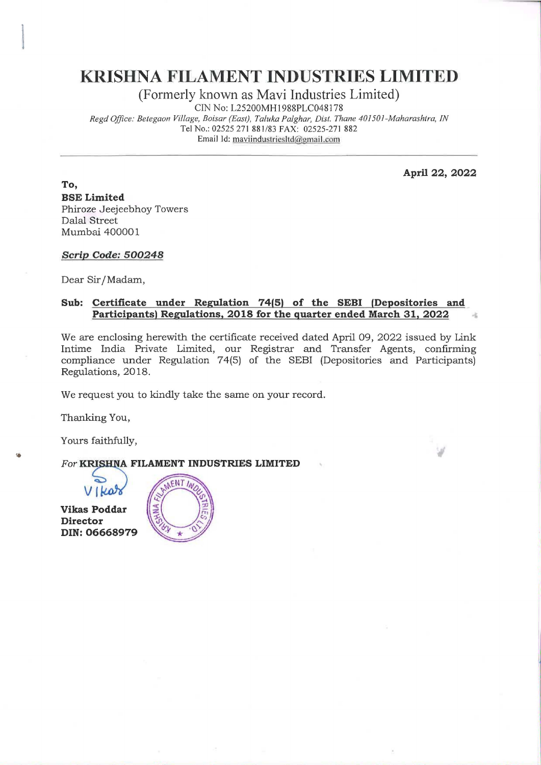## KRISHNA FILAMENT INDUSTRIES LIMITED

(Formerly known as Mavi Industries Limited)

CIN No: L25200MH1988PLC0481 78

Regd Office: Betegaon Village, Boisar (East), Taluka Palghar, Dist. Thane 401501-Maharashtra, IN Tel No.: 02525 271 881/83 FAX: 02525-271 882 **KRISHNA FILAMENT I**<br>(Formerly known as Ma<br>CIN No: L25200MI<br>Regd Office: Betegaon Village, Boisar (East), Talus<br>Tel No.: 02525 271 881/8<br>Email Id: <u>mavindust</u> Email Id: maviindustriesltd@pmail.com **RISHNA FILAMENT**<br>
(Formerly known as M<br>
CIN No: L25200M<br>
Regd Office: Betegaon Village, Boisar (East), Talu<br>
Tel No.: 02525 271 881/8<br>
Email 1d: mavindus<br>
Email 1d: mavindus<br>
Email 1d: mavindus<br>
Street<br>
ai 400001<br>
Code: 5

April 22, 2022

To, BSE Limited Phiroze Jeejeebhoy Towers Dalal Street Mumbai 400001

Scrip Code: 500248

Dear Sir/Madam,

## Sub: Certificate under Regulation 74(5) of the SEBI (Depositories and Participants) Regulations, 2018 for the quarter ended March 31, 2022

We are enclosing herewith the certificate received dated April 09, 2022 issued by Link Intime India Private Limited, our Registrar and Transfer Agents, confirming compliance under Regulation 74(5) of the SEBI (Depositories and Participants) Regulations, 2018.

We request you to kindly take the same on your record.

Thanking You,

Yours faithfully,

## For KRISHNA FILAMENT INDUSTRIES LIMITED

Vi Vikas Poddar Director DIN: 06668979